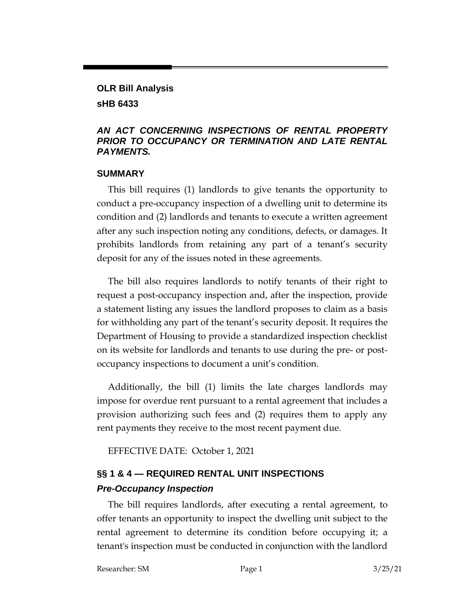## **OLR Bill Analysis sHB 6433**

### *AN ACT CONCERNING INSPECTIONS OF RENTAL PROPERTY PRIOR TO OCCUPANCY OR TERMINATION AND LATE RENTAL PAYMENTS.*

### **SUMMARY**

This bill requires (1) landlords to give tenants the opportunity to conduct a pre-occupancy inspection of a dwelling unit to determine its condition and (2) landlords and tenants to execute a written agreement after any such inspection noting any conditions, defects, or damages. It prohibits landlords from retaining any part of a tenant's security deposit for any of the issues noted in these agreements.

The bill also requires landlords to notify tenants of their right to request a post-occupancy inspection and, after the inspection, provide a statement listing any issues the landlord proposes to claim as a basis for withholding any part of the tenant's security deposit. It requires the Department of Housing to provide a standardized inspection checklist on its website for landlords and tenants to use during the pre- or postoccupancy inspections to document a unit's condition.

Additionally, the bill (1) limits the late charges landlords may impose for overdue rent pursuant to a rental agreement that includes a provision authorizing such fees and (2) requires them to apply any rent payments they receive to the most recent payment due.

EFFECTIVE DATE: October 1, 2021

# **§§ 1 & 4 — REQUIRED RENTAL UNIT INSPECTIONS**  *Pre-Occupancy Inspection*

The bill requires landlords, after executing a rental agreement, to offer tenants an opportunity to inspect the dwelling unit subject to the rental agreement to determine its condition before occupying it; a tenant's inspection must be conducted in conjunction with the landlord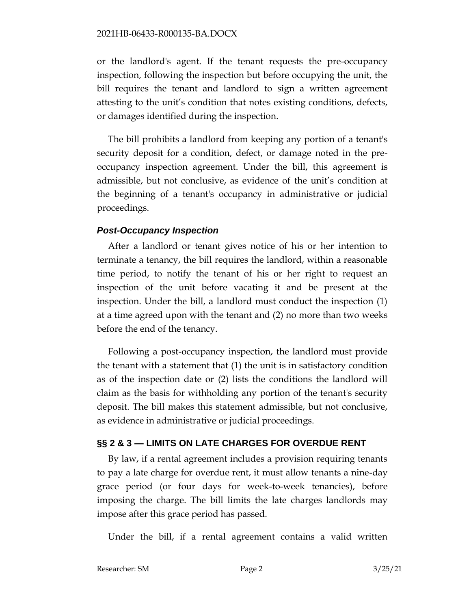or the landlord's agent. If the tenant requests the pre-occupancy inspection, following the inspection but before occupying the unit, the bill requires the tenant and landlord to sign a written agreement attesting to the unit's condition that notes existing conditions, defects, or damages identified during the inspection.

The bill prohibits a landlord from keeping any portion of a tenant's security deposit for a condition, defect, or damage noted in the preoccupancy inspection agreement. Under the bill, this agreement is admissible, but not conclusive, as evidence of the unit's condition at the beginning of a tenant's occupancy in administrative or judicial proceedings.

## *Post-Occupancy Inspection*

After a landlord or tenant gives notice of his or her intention to terminate a tenancy, the bill requires the landlord, within a reasonable time period, to notify the tenant of his or her right to request an inspection of the unit before vacating it and be present at the inspection. Under the bill, a landlord must conduct the inspection (1) at a time agreed upon with the tenant and (2) no more than two weeks before the end of the tenancy.

Following a post-occupancy inspection, the landlord must provide the tenant with a statement that (1) the unit is in satisfactory condition as of the inspection date or (2) lists the conditions the landlord will claim as the basis for withholding any portion of the tenant's security deposit. The bill makes this statement admissible, but not conclusive, as evidence in administrative or judicial proceedings.

## **§§ 2 & 3 — LIMITS ON LATE CHARGES FOR OVERDUE RENT**

By law, if a rental agreement includes a provision requiring tenants to pay a late charge for overdue rent, it must allow tenants a nine-day grace period (or four days for week-to-week tenancies), before imposing the charge. The bill limits the late charges landlords may impose after this grace period has passed.

Under the bill, if a rental agreement contains a valid written